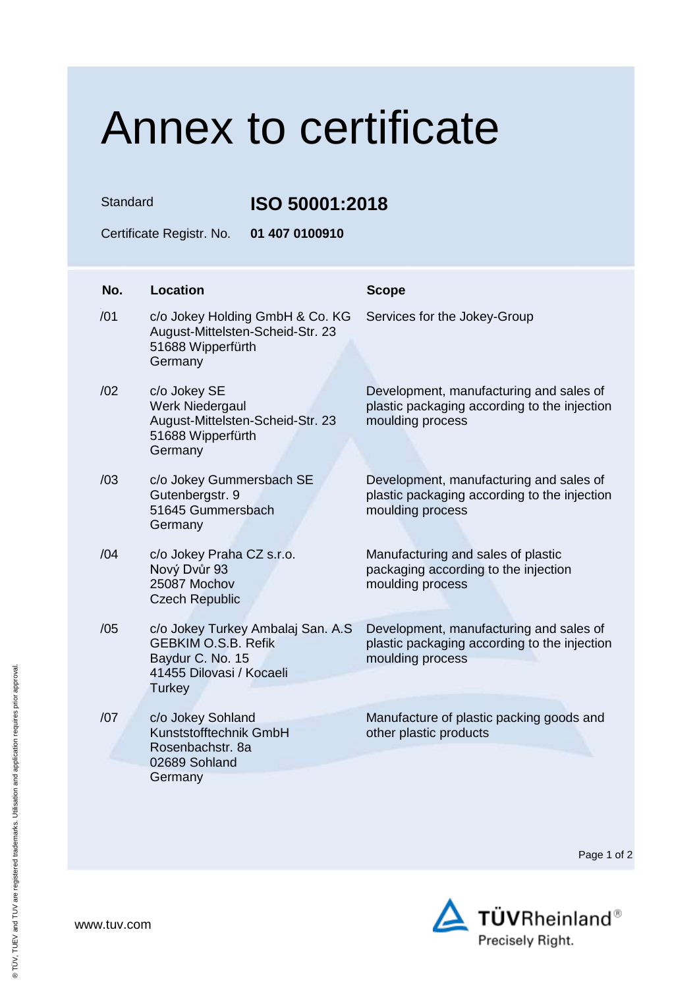## Annex to certificate

Standard **ISO 50001:2018**

Certificate Registr. No. **01 407 0100910**

| No. | <b>Location</b>                                                                                                                  | <b>Scope</b>                                                                                                |
|-----|----------------------------------------------------------------------------------------------------------------------------------|-------------------------------------------------------------------------------------------------------------|
| /01 | c/o Jokey Holding GmbH & Co. KG<br>August-Mittelsten-Scheid-Str. 23<br>51688 Wipperfürth<br>Germany                              | Services for the Jokey-Group                                                                                |
| /02 | c/o Jokey SE<br>Werk Niedergaul<br>August-Mittelsten-Scheid-Str. 23<br>51688 Wipperfürth<br>Germany                              | Development, manufacturing and sales of<br>plastic packaging according to the injection<br>moulding process |
| /03 | c/o Jokey Gummersbach SE<br>Gutenbergstr. 9<br>51645 Gummersbach<br>Germany                                                      | Development, manufacturing and sales of<br>plastic packaging according to the injection<br>moulding process |
| /04 | c/o Jokey Praha CZ s.r.o.<br>Nový Dvůr 93<br>25087 Mochov<br><b>Czech Republic</b>                                               | Manufacturing and sales of plastic<br>packaging according to the injection<br>moulding process              |
| /05 | c/o Jokey Turkey Ambalaj San. A.S<br><b>GEBKIM O.S.B. Refik</b><br>Baydur C. No. 15<br>41455 Dilovasi / Kocaeli<br><b>Turkey</b> | Development, manufacturing and sales of<br>plastic packaging according to the injection<br>moulding process |
| /07 | c/o Jokey Sohland<br>Kunststofftechnik GmbH<br>Rosenbachstr. 8a<br>02689 Sohland<br>Germany                                      | Manufacture of plastic packing goods and<br>other plastic products                                          |

Page 1 of 2